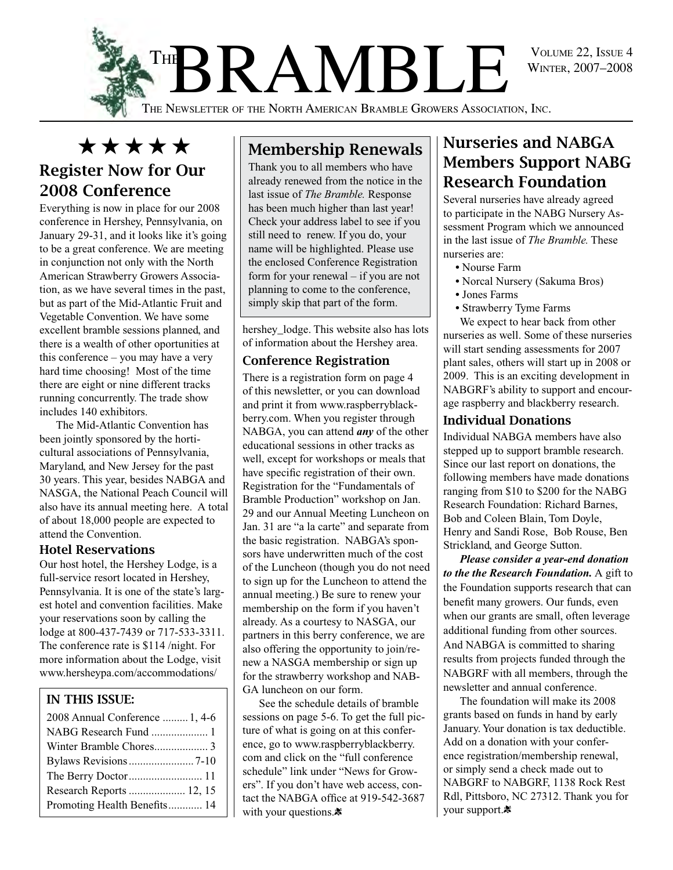

BRAMBLE VOLUME 22, ISSUE 4 **THE** 

The Newsletter of the North American Bramble Growers Association, Inc.

# \*\*\*\*\*

### Register Now for Our 2008 Conference

Everything is now in place for our 2008 conference in Hershey, Pennsylvania, on January 29-31, and it looks like it's going to be a great conference. We are meeting in conjunction not only with the North American Strawberry Growers Association, as we have several times in the past, but as part of the Mid-Atlantic Fruit and Vegetable Convention. We have some excellent bramble sessions planned, and there is a wealth of other oportunities at this conference – you may have a very hard time choosing! Most of the time there are eight or nine different tracks running concurrently. The trade show includes 140 exhibitors.

The Mid-Atlantic Convention has been jointly sponsored by the horticultural associations of Pennsylvania, Maryland, and New Jersey for the past 30 years. This year, besides NABGA and NASGA, the National Peach Council will also have its annual meeting here. A total of about 18,000 people are expected to attend the Convention.

#### Hotel Reservations

Our host hotel, the Hershey Lodge, is a full-service resort located in Hershey, Pennsylvania. It is one of the state's largest hotel and convention facilities. Make your reservations soon by calling the lodge at 800-437-7439 or 717-533-3311. The conference rate is \$114 /night. For more information about the Lodge, visit www.hersheypa.com/accommodations/

#### In this Issue:

| 2008 Annual Conference  1, 4-6 |
|--------------------------------|
| NABG Research Fund  1          |
|                                |
|                                |
|                                |
| Research Reports  12, 15       |
| Promoting Health Benefits 14   |

### Membership Renewals

Thank you to all members who have already renewed from the notice in the last issue of *The Bramble.* Response has been much higher than last year! Check your address label to see if you still need to renew. If you do, your name will be highlighted. Please use the enclosed Conference Registration form for your renewal – if you are not planning to come to the conference, simply skip that part of the form.

hershey\_lodge. This website also has lots of information about the Hershey area.

#### Conference Registration

There is a registration form on page 4 of this newsletter, or you can download and print it from www.raspberryblackberry.com. When you register through NABGA, you can attend *any* of the other educational sessions in other tracks as well, except for workshops or meals that have specific registration of their own. Registration for the "Fundamentals of Bramble Production" workshop on Jan. 29 and our Annual Meeting Luncheon on Jan. 31 are "a la carte" and separate from the basic registration. NABGA's sponsors have underwritten much of the cost of the Luncheon (though you do not need to sign up for the Luncheon to attend the annual meeting.) Be sure to renew your membership on the form if you haven't already. As a courtesy to NASGA, our partners in this berry conference, we are also offering the opportunity to join/renew a NASGA membership or sign up for the strawberry workshop and NAB-GA luncheon on our form.

See the schedule details of bramble sessions on page 5-6. To get the full picture of what is going on at this conference, go to www.raspberryblackberry. com and click on the "full conference schedule" link under "News for Growers". If you don't have web access, contact the NABGA office at 919-542-3687 with your questions. $\ddot{\ast}$ 

### Nurseries and NABGA Members Support NABG Research Foundation

Several nurseries have already agreed to participate in the NABG Nursery Assessment Program which we announced in the last issue of *The Bramble.* These nurseries are:

- Nourse Farm
- Norcal Nursery (Sakuma Bros)
- Jones Farms
- Strawberry Tyme Farms

We expect to hear back from other nurseries as well. Some of these nurseries will start sending assessments for 2007 plant sales, others will start up in 2008 or 2009. This is an exciting development in NABGRF's ability to support and encourage raspberry and blackberry research.

#### Individual Donations

Individual NABGA members have also stepped up to support bramble research. Since our last report on donations, the following members have made donations ranging from \$10 to \$200 for the NABG Research Foundation: Richard Barnes, Bob and Coleen Blain, Tom Doyle, Henry and Sandi Rose, Bob Rouse, Ben Strickland, and George Sutton.

*Please consider a year-end donation to the the Research Foundation.* A gift to the Foundation supports research that can benefit many growers. Our funds, even when our grants are small, often leverage additional funding from other sources. And NABGA is committed to sharing results from projects funded through the NABGRF with all members, through the newsletter and annual conference.

The foundation will make its 2008 grants based on funds in hand by early January. Your donation is tax deductible. Add on a donation with your conference registration/membership renewal, or simply send a check made out to NABGRF to NABGRF, 1138 Rock Rest Rdl, Pittsboro, NC 27312. Thank you for your support.\*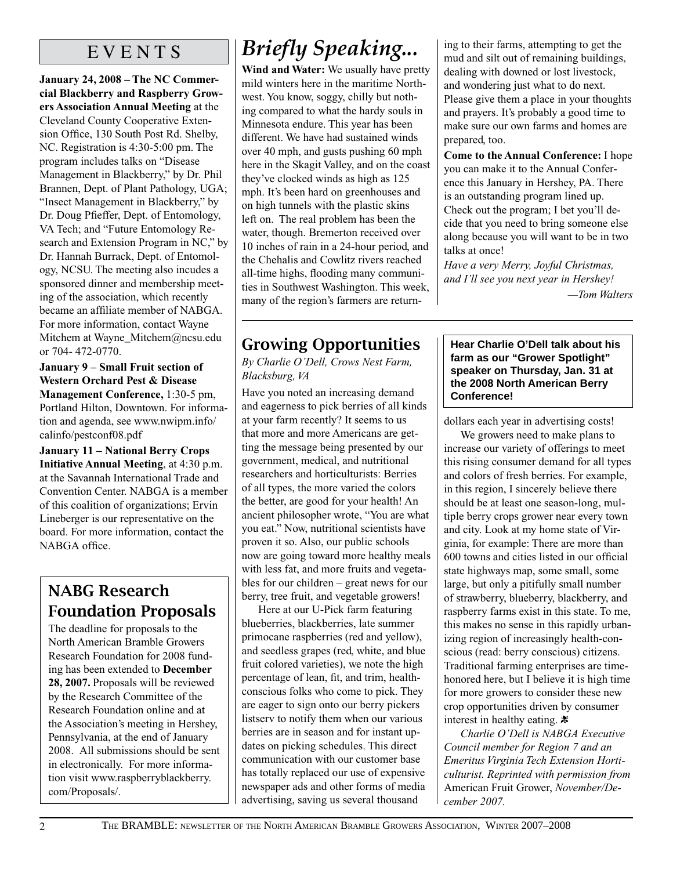### E V E N T S

**January 24, 2008 – The NC Commercial Blackberry and Raspberry Growers Association Annual Meeting** at the Cleveland County Cooperative Extension Office, 130 South Post Rd. Shelby, NC. Registration is 4:30-5:00 pm. The program includes talks on "Disease Management in Blackberry," by Dr. Phil Brannen, Dept. of Plant Pathology, UGA; "Insect Management in Blackberry," by Dr. Doug Pfieffer, Dept. of Entomology, VA Tech; and "Future Entomology Research and Extension Program in NC," by Dr. Hannah Burrack, Dept. of Entomology, NCSU. The meeting also incudes a sponsored dinner and membership meeting of the association, which recently became an affiliate member of NABGA. For more information, contact Wayne Mitchem at Wayne\_Mitchem@ncsu.edu or 704- 472-0770.

**January 9 – Small Fruit section of Western Orchard Pest & Disease Management Conference,** 1:30-5 pm, Portland Hilton, Downtown. For information and agenda, see www.nwipm.info/ calinfo/pestconf08.pdf

**January 11 – National Berry Crops Initiative Annual Meeting**, at 4:30 p.m. at the Savannah International Trade and Convention Center. NABGA is a member of this coalition of organizations; Ervin Lineberger is our representative on the board. For more information, contact the NABGA office.

### NABG Research Foundation Proposals

The deadline for proposals to the North American Bramble Growers Research Foundation for 2008 funding has been extended to **December 28, 2007.** Proposals will be reviewed by the Research Committee of the Research Foundation online and at the Association's meeting in Hershey, Pennsylvania, at the end of January 2008. All submissions should be sent in electronically. For more information visit www.raspberryblackberry. com/Proposals/.

# *Briefly Speaking...*

**Wind and Water:** We usually have pretty mild winters here in the maritime Northwest. You know, soggy, chilly but nothing compared to what the hardy souls in Minnesota endure. This year has been different. We have had sustained winds over 40 mph, and gusts pushing 60 mph here in the Skagit Valley, and on the coast they've clocked winds as high as 125 mph. It's been hard on greenhouses and on high tunnels with the plastic skins left on. The real problem has been the water, though. Bremerton received over 10 inches of rain in a 24-hour period, and the Chehalis and Cowlitz rivers reached all-time highs, flooding many communities in Southwest Washington. This week, many of the region's farmers are return-

### Growing Opportunities

*By Charlie O'Dell, Crows Nest Farm, Blacksburg, VA*

Have you noted an increasing demand and eagerness to pick berries of all kinds at your farm recently? It seems to us that more and more Americans are getting the message being presented by our government, medical, and nutritional researchers and horticulturists: Berries of all types, the more varied the colors the better, are good for your health! An ancient philosopher wrote, "You are what you eat." Now, nutritional scientists have proven it so. Also, our public schools now are going toward more healthy meals with less fat, and more fruits and vegetables for our children – great news for our berry, tree fruit, and vegetable growers!

Here at our U-Pick farm featuring blueberries, blackberries, late summer primocane raspberries (red and yellow), and seedless grapes (red, white, and blue fruit colored varieties), we note the high percentage of lean, fit, and trim, healthconscious folks who come to pick. They are eager to sign onto our berry pickers listserv to notify them when our various berries are in season and for instant updates on picking schedules. This direct communication with our customer base has totally replaced our use of expensive newspaper ads and other forms of media advertising, saving us several thousand

ing to their farms, attempting to get the mud and silt out of remaining buildings, dealing with downed or lost livestock, and wondering just what to do next. Please give them a place in your thoughts and prayers. It's probably a good time to make sure our own farms and homes are prepared, too.

**Come to the Annual Conference:** I hope you can make it to the Annual Conference this January in Hershey, PA. There is an outstanding program lined up. Check out the program; I bet you'll decide that you need to bring someone else along because you will want to be in two talks at once!

*Have a very Merry, Joyful Christmas, and I'll see you next year in Hershey! —Tom Walters*

**Hear Charlie O'Dell talk about his farm as our "Grower Spotlight" speaker on Thursday, Jan. 31 at the 2008 North American Berry Conference!**

dollars each year in advertising costs!

We growers need to make plans to increase our variety of offerings to meet this rising consumer demand for all types and colors of fresh berries. For example, in this region, I sincerely believe there should be at least one season-long, multiple berry crops grower near every town and city. Look at my home state of Virginia, for example: There are more than 600 towns and cities listed in our official state highways map, some small, some large, but only a pitifully small number of strawberry, blueberry, blackberry, and raspberry farms exist in this state. To me, this makes no sense in this rapidly urbanizing region of increasingly health-conscious (read: berry conscious) citizens. Traditional farming enterprises are timehonored here, but I believe it is high time for more growers to consider these new crop opportunities driven by consumer interest in healthy eating.  $\ast$ 

*Charlie O'Dell is NABGA Executive Council member for Region 7 and an Emeritus Virginia Tech Extension Horticulturist. Reprinted with permission from*  American Fruit Grower, *November/December 2007.*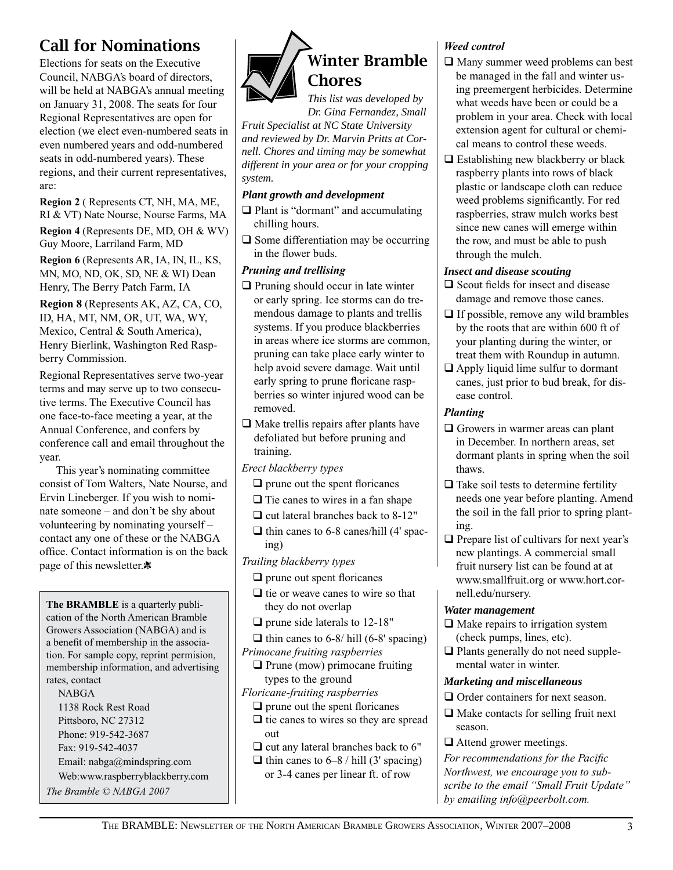### Call for Nominations

Elections for seats on the Executive Council, NABGA's board of directors, will be held at NABGA's annual meeting on January 31, 2008. The seats for four Regional Representatives are open for election (we elect even-numbered seats in even numbered years and odd-numbered seats in odd-numbered years). These regions, and their current representatives, are:

**Region 2** ( Represents CT, NH, MA, ME, RI & VT) Nate Nourse, Nourse Farms, MA

**Region 4** (Represents DE, MD, OH & WV) Guy Moore, Larriland Farm, MD

**Region 6** (Represents AR, IA, IN, IL, KS, MN, MO, ND, OK, SD, NE & WI) Dean Henry, The Berry Patch Farm, IA

**Region 8** (Represents AK, AZ, CA, CO, ID, HA, MT, NM, OR, UT, WA, WY, Mexico, Central & South America), Henry Bierlink, Washington Red Raspberry Commission.

Regional Representatives serve two-year terms and may serve up to two consecutive terms. The Executive Council has one face-to-face meeting a year, at the Annual Conference, and confers by conference call and email throughout the year.

This year's nominating committee consist of Tom Walters, Nate Nourse, and Ervin Lineberger. If you wish to nominate someone – and don't be shy about volunteering by nominating yourself – contact any one of these or the NABGA office. Contact information is on the back page of this newsletter. $\ddot{\mathbf{x}}$ 

**The BRAMBLE** is a quarterly publication of the North American Bramble Growers Association (NABGA) and is a benefit of membership in the association. For sample copy, reprint permision, membership information, and advertising rates, contact **NABGA** 

1138 Rock Rest Road Pittsboro, NC 27312 Phone: 919-542-3687 Fax: 919-542-4037 Email: nabga@mindspring.com

Web:www.raspberryblackberry.com

*The Bramble © NABGA 2007*



*Dr. Gina Fernandez, Small Fruit Specialist at NC State University and reviewed by Dr. Marvin Pritts at Cornell. Chores and timing may be somewhat different in your area or for your cropping system.*

#### *Plant growth and development*

- $\Box$  Plant is "dormant" and accumulating chilling hours.
- $\Box$  Some differentiation may be occurring in the flower buds.

#### *Pruning and trellising*

- $\Box$  Pruning should occur in late winter or early spring. Ice storms can do tremendous damage to plants and trellis systems. If you produce blackberries in areas where ice storms are common, pruning can take place early winter to help avoid severe damage. Wait until early spring to prune floricane raspberries so winter injured wood can be removed.
- $\Box$  Make trellis repairs after plants have defoliated but before pruning and training.
- *Erect blackberry types*
	- $\Box$  prune out the spent floricanes
	- $\Box$  Tie canes to wires in a fan shape
	- $\Box$  cut lateral branches back to 8-12"
	- $\Box$  thin canes to 6-8 canes/hill (4' spacing)
- *Trailing blackberry types*
	- $\Box$  prune out spent floricanes
	- $\Box$  tie or weave canes to wire so that they do not overlap
	- $\Box$  prune side laterals to 12-18"
	- $\Box$  thin canes to 6-8/ hill (6-8' spacing)
- *Primocane fruiting raspberries*
- $\Box$  Prune (mow) primocane fruiting types to the ground
- *Floricane-fruiting raspberries*
	- $\Box$  prune out the spent floricanes  $\Box$  tie canes to wires so they are spread out
	- $\Box$  cut any lateral branches back to 6"
	- $\Box$  thin canes to 6–8 / hill (3' spacing) or 3-4 canes per linear ft. of row

#### *Weed control*

- $\Box$  Many summer weed problems can best be managed in the fall and winter using preemergent herbicides. Determine what weeds have been or could be a problem in your area. Check with local extension agent for cultural or chemical means to control these weeds.
- $\Box$  Establishing new blackberry or black raspberry plants into rows of black plastic or landscape cloth can reduce weed problems significantly. For red raspberries, straw mulch works best since new canes will emerge within the row, and must be able to push through the mulch.

#### *Insect and disease scouting*

- $\Box$  Scout fields for insect and disease damage and remove those canes.
- $\Box$  If possible, remove any wild brambles by the roots that are within 600 ft of your planting during the winter, or treat them with Roundup in autumn.
- $\Box$  Apply liquid lime sulfur to dormant canes, just prior to bud break, for disease control.

#### *Planting*

- $\Box$  Growers in warmer areas can plant in December. In northern areas, set dormant plants in spring when the soil thaws.
- $\Box$  Take soil tests to determine fertility needs one year before planting. Amend the soil in the fall prior to spring planting.
- $\Box$  Prepare list of cultivars for next year's new plantings. A commercial small fruit nursery list can be found at at www.smallfruit.org or www.hort.cornell.edu/nursery.

#### *Water management*

- $\Box$  Make repairs to irrigation system (check pumps, lines, etc).
- $\Box$  Plants generally do not need supplemental water in winter.

#### *Marketing and miscellaneous*

- $\Box$  Order containers for next season.
- $\Box$  Make contacts for selling fruit next season.
- $\Box$  Attend grower meetings.

*For recommendations for the Pacific Northwest, we encourage you to subscribe to the email "Small Fruit Update" by emailing info@peerbolt.com.*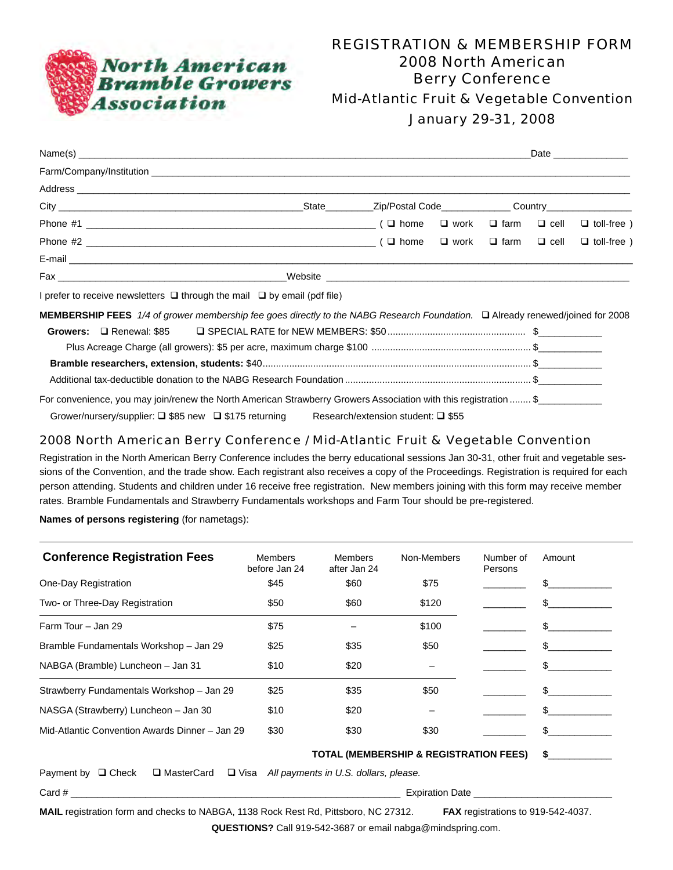

### REGISTRATION & MEMBERSHIP FORM 2008 North American Berry Conference Mid-Atlantic Fruit & Vegetable Convention

January 29-31, 2008

|                                                                                                                               |                                    |  | Date ______________ |
|-------------------------------------------------------------------------------------------------------------------------------|------------------------------------|--|---------------------|
|                                                                                                                               |                                    |  |                     |
|                                                                                                                               |                                    |  |                     |
|                                                                                                                               |                                    |  |                     |
|                                                                                                                               |                                    |  |                     |
|                                                                                                                               |                                    |  | $\Box$ toll-free )  |
|                                                                                                                               |                                    |  |                     |
|                                                                                                                               |                                    |  |                     |
| I prefer to receive newsletters $\Box$ through the mail $\Box$ by email (pdf file)                                            |                                    |  |                     |
| MEMBERSHIP FEES 1/4 of grower membership fee goes directly to the NABG Research Foundation. □ Already renewed/joined for 2008 |                                    |  |                     |
| Growers: $\Box$ Renewal: \$85                                                                                                 |                                    |  |                     |
|                                                                                                                               |                                    |  |                     |
|                                                                                                                               |                                    |  |                     |
|                                                                                                                               |                                    |  |                     |
| For convenience, you may join/renew the North American Strawberry Growers Association with this registration  \$              |                                    |  |                     |
| Grower/nursery/supplier: □ \$85 new □ \$175 returning                                                                         | Research/extension student: □ \$55 |  |                     |

#### 2008 North American Berry Conference / Mid-Atlantic Fruit & Vegetable Convention

Registration in the North American Berry Conference includes the berry educational sessions Jan 30-31, other fruit and vegetable sessions of the Convention, and the trade show. Each registrant also receives a copy of the Proceedings. Registration is required for each person attending. Students and children under 16 receive free registration. New members joining with this form may receive member rates. Bramble Fundamentals and Strawberry Fundamentals workshops and Farm Tour should be pre-registered.

**Names of persons registering** (for nametags):

| <b>Conference Registration Fees</b>            | Members<br>before Jan 24 | <b>Members</b><br>after Jan 24 | Non-Members                                       | Number of<br>Persons | Amount |
|------------------------------------------------|--------------------------|--------------------------------|---------------------------------------------------|----------------------|--------|
| One-Day Registration                           | \$45                     | \$60                           | \$75                                              |                      | \$.    |
| Two- or Three-Day Registration                 | \$50                     | \$60                           | \$120                                             |                      | £.     |
| Farm Tour - Jan 29                             | \$75                     |                                | \$100                                             |                      | \$.    |
| Bramble Fundamentals Workshop - Jan 29         | \$25                     | \$35                           | \$50                                              |                      |        |
| NABGA (Bramble) Luncheon - Jan 31              | \$10                     | \$20                           |                                                   |                      | \$.    |
| Strawberry Fundamentals Workshop - Jan 29      | \$25                     | \$35                           | \$50                                              |                      | \$.    |
| NASGA (Strawberry) Luncheon - Jan 30           | \$10                     | \$20                           |                                                   |                      | \$.    |
| Mid-Atlantic Convention Awards Dinner - Jan 29 | \$30                     | \$30                           | \$30                                              |                      |        |
|                                                |                          |                                | <b>TOTAL (MEMBERSHIP &amp; REGISTRATION FEES)</b> |                      |        |

Payment by **Q** Check Q MasterCard Q Visa *All payments in U.S. dollars, please.* 

Card # \_\_\_\_\_\_\_\_\_\_\_\_\_\_\_\_\_\_\_\_\_\_\_\_\_\_\_\_\_\_\_\_\_\_\_\_\_\_\_\_\_\_\_\_\_\_\_\_\_\_\_\_\_\_\_\_\_\_\_\_\_\_ Expiration Date \_\_\_\_\_\_\_\_\_\_\_\_\_\_\_\_\_\_\_\_\_\_\_\_\_\_

**Mail** registration form and checks to NABGA, 1138 Rock Rest Rd, Pittsboro, NC 27312. **Fax** registrations to 919-542-4037.

**QUESTIONS?** Call 919-542-3687 or email nabga@mindspring.com.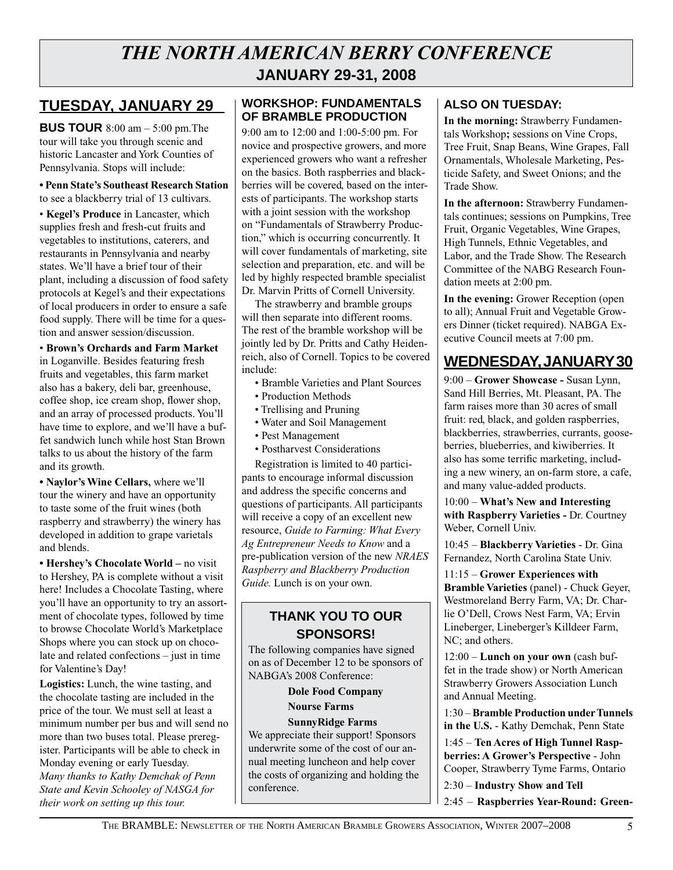### *THE NORTH AMERICAN BERRY CONFERENCE*  **January 29-31, 2008**

### **TUESDAY, JANUARY 29**

**BUS TOUR** 8:00 am – 5:00 pm. The tour will take you through scenic and historic Lancaster and York Counties of Pennsylvania. Stops will include:

**• Penn State's Southeast Research Station** to see a blackberry trial of 13 cultivars.

• **Kegel's Produce** in Lancaster, which supplies fresh and fresh-cut fruits and vegetables to institutions, caterers, and restaurants in Pennsylvania and nearby states. We'll have a brief tour of their plant, including a discussion of food safety protocols at Kegel's and their expectations of local producers in order to ensure a safe food supply. There will be time for a question and answer session/discussion.

• **Brown's Orchards and Farm Market** in Loganville. Besides featuring fresh fruits and vegetables, this farm market also has a bakery, deli bar, greenhouse, coffee shop, ice cream shop, flower shop, and an array of processed products. You'll have time to explore, and we'll have a buffet sandwich lunch while host Stan Brown talks to us about the history of the farm and its growth.

**• Naylor's Wine Cellars,** where we'll tour the winery and have an opportunity to taste some of the fruit wines (both raspberry and strawberry) the winery has developed in addition to grape varietals and blends.

**• Hershey's Chocolate World –** no visit to Hershey, PA is complete without a visit here! Includes a Chocolate Tasting, where you'll have an opportunity to try an assortment of chocolate types, followed by time to browse Chocolate World's Marketplace Shops where you can stock up on chocolate and related confections – just in time for Valentine's Day!

**Logistics:** Lunch, the wine tasting, and the chocolate tasting are included in the price of the tour. We must sell at least a minimum number per bus and will send no more than two buses total. Please preregister. Participants will be able to check in Monday evening or early Tuesday. *Many thanks to Kathy Demchak of Penn State and Kevin Schooley of NASGA for their work on setting up this tour.*

#### **Workshop: Fundamentals of Bramble Production**

9:00 am to 12:00 and 1:00-5:00 pm. For novice and prospective growers, and more experienced growers who want a refresher on the basics. Both raspberries and blackberries will be covered, based on the interests of participants. The workshop starts with a joint session with the workshop on "Fundamentals of Strawberry Production," which is occurring concurrently. It will cover fundamentals of marketing, site selection and preparation, etc. and will be led by highly respected bramble specialist Dr. Marvin Pritts of Cornell University.

The strawberry and bramble groups will then separate into different rooms. The rest of the bramble workshop will be jointly led by Dr. Pritts and Cathy Heidenreich, also of Cornell. Topics to be covered include:

- Bramble Varieties and Plant Sources
- Production Methods
- Trellising and Pruning
- Water and Soil Management
- Pest Management
- Postharvest Considerations

Registration is limited to 40 participants to encourage informal discussion and address the specific concerns and questions of participants. All participants will receive a copy of an excellent new resource, *Guide to Farming: What Every Ag Entrepreneur Needs to Know* and a pre-publication version of the new *NRAES Raspberry and Blackberry Production Guide.* Lunch is on your own.

#### **THANK YOU TO OUR SPONSORS!**

The following companies have signed on as of December 12 to be sponsors of NABGA's 2008 Conference:

#### **Dole Food Company Nourse Farms SunnyRidge Farms**

We appreciate their support! Sponsors underwrite some of the cost of our annual meeting luncheon and help cover the costs of organizing and holding the conference.

#### **ALSO on TUESDAY:**

**In the morning:** Strawberry Fundamentals Workshop**;** sessions on Vine Crops, Tree Fruit, Snap Beans, Wine Grapes, Fall Ornamentals, Wholesale Marketing, Pesticide Safety, and Sweet Onions; and the Trade Show.

**In the afternoon:** Strawberry Fundamentals continues; sessions on Pumpkins, Tree Fruit, Organic Vegetables, Wine Grapes, High Tunnels, Ethnic Vegetables, and Labor, and the Trade Show. The Research Committee of the NABG Research Foundation meets at 2:00 pm.

**In the evening:** Grower Reception (open to all); Annual Fruit and Vegetable Growers Dinner (ticket required). NABGA Executive Council meets at 7:00 pm.

### **Wednesday, January 30**

9:00 – **Grower Showcase -** Susan Lynn, Sand Hill Berries, Mt. Pleasant, PA. The farm raises more than 30 acres of small fruit: red, black, and golden raspberries, blackberries, strawberries, currants, gooseberries, blueberries, and kiwiberries. It also has some terrific marketing, including a new winery, an on-farm store, a cafe, and many value-added products.

10:00 – **What's New and Interesting with Raspberry Varieties -** Dr. Courtney Weber, Cornell Univ.

10:45 – **Blackberry Varieties** - Dr. Gina Fernandez, North Carolina State Univ.

11:15 – **Grower Experiences with Bramble Varieties** (panel) - Chuck Geyer, Westmoreland Berry Farm, VA; Dr. Charlie O'Dell, Crows Nest Farm, VA; Ervin Lineberger, Lineberger's Killdeer Farm, NC; and others.

12:00 – **Lunch on your own** (cash buffet in the trade show) or North American Strawberry Growers Association Lunch and Annual Meeting.

1:30 – **Bramble Production under Tunnels in the U.S.** - Kathy Demchak, Penn State

1:45 – **Ten Acres of High Tunnel Raspberries: A Grower's Perspective** - John Cooper, Strawberry Tyme Farms, Ontario

2:30 – **Industry Show and Tell**

2:45 – **Raspberries Year-Round: Green-**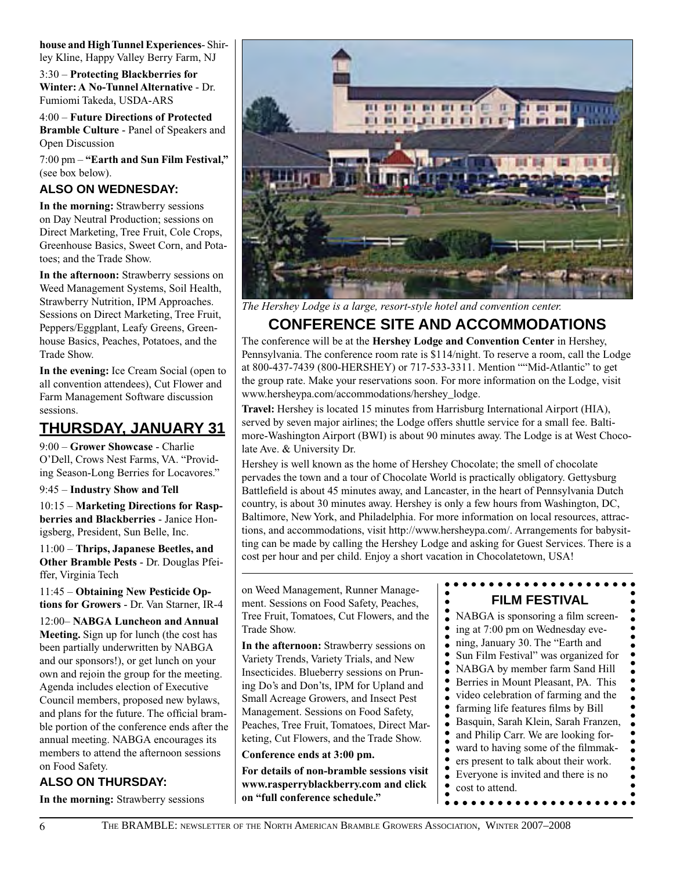**house and High Tunnel Experiences**- Shirley Kline, Happy Valley Berry Farm, NJ

3:30 – **Protecting Blackberries for Winter: A No-Tunnel Alternative** - Dr. Fumiomi Takeda, USDA-ARS

4:00 – **Future Directions of Protected Bramble Culture** - Panel of Speakers and Open Discussion

7:00 pm – **"Earth and Sun Film Festival,"** (see box below).

#### **ALSO on WEDNESDAY:**

**In the morning:** Strawberry sessions on Day Neutral Production; sessions on Direct Marketing, Tree Fruit, Cole Crops, Greenhouse Basics, Sweet Corn, and Potatoes; and the Trade Show.

**In the afternoon:** Strawberry sessions on Weed Management Systems, Soil Health, Strawberry Nutrition, IPM Approaches. Sessions on Direct Marketing, Tree Fruit, Peppers/Eggplant, Leafy Greens, Greenhouse Basics, Peaches, Potatoes, and the Trade Show.

**In the evening:** Ice Cream Social (open to all convention attendees), Cut Flower and Farm Management Software discussion sessions.

### **Thursday, January 31**

9:00 – **Grower Showcase** - Charlie O'Dell, Crows Nest Farms, VA. "Providing Season-Long Berries for Locavores."

9:45 – **Industry Show and Tell**

10:15 – **Marketing Directions for Raspberries and Blackberries** - Janice Honigsberg, President, Sun Belle, Inc.

11:00 – **Thrips, Japanese Beetles, and Other Bramble Pests** - Dr. Douglas Pfeiffer, Virginia Tech

11:45 – **Obtaining New Pesticide Options for Growers** - Dr. Van Starner, IR-4

12:00– **NABGA Luncheon and Annual Meeting.** Sign up for lunch (the cost has been partially underwritten by NABGA and our sponsors!), or get lunch on your own and rejoin the group for the meeting. Agenda includes election of Executive Council members, proposed new bylaws, and plans for the future. The official bramble portion of the conference ends after the annual meeting. NABGA encourages its members to attend the afternoon sessions on Food Safety.

#### **ALSO ON THURSDAY:**

**In the morning:** Strawberry sessions



*The Hershey Lodge is a large, resort-style hotel and convention center.*

### **Conference Site and Accommodations**

The conference will be at the **Hershey Lodge and Convention Center** in Hershey, Pennsylvania. The conference room rate is \$114/night. To reserve a room, call the Lodge at 800-437-7439 (800-HERSHEY) or 717-533-3311. Mention ""Mid-Atlantic" to get the group rate. Make your reservations soon. For more information on the Lodge, visit www.hersheypa.com/accommodations/hershey\_lodge.

**Travel:** Hershey is located 15 minutes from Harrisburg International Airport (HIA), served by seven major airlines; the Lodge offers shuttle service for a small fee. Baltimore-Washington Airport (BWI) is about 90 minutes away. The Lodge is at West Chocolate Ave. & University Dr.

Hershey is well known as the home of Hershey Chocolate; the smell of chocolate pervades the town and a tour of Chocolate World is practically obligatory. Gettysburg Battlefield is about 45 minutes away, and Lancaster, in the heart of Pennsylvania Dutch country, is about 30 minutes away. Hershey is only a few hours from Washington, DC, Baltimore, New York, and Philadelphia. For more information on local resources, attractions, and accommodations, visit http://www.hersheypa.com/. Arrangements for babysitting can be made by calling the Hershey Lodge and asking for Guest Services. There is a cost per hour and per child. Enjoy a short vacation in Chocolatetown, USA!

on Weed Management, Runner Management. Sessions on Food Safety, Peaches, Tree Fruit, Tomatoes, Cut Flowers, and the Trade Show.

**In the afternoon:** Strawberry sessions on Variety Trends, Variety Trials, and New Insecticides. Blueberry sessions on Pruning Do's and Don'ts, IPM for Upland and Small Acreage Growers, and Insect Pest Management. Sessions on Food Safety, Peaches, Tree Fruit, Tomatoes, Direct Marketing, Cut Flowers, and the Trade Show.

**Conference ends at 3:00 pm.**

**For details of non-bramble sessions visit www.rasperryblackberry.com and click on "full conference schedule."**

#### **Film Festival**

NABGA is sponsoring a film screening at 7:00 pm on Wednesday evening, January 30. The "Earth and Sun Film Festival" was organized for NABGA by member farm Sand Hill Berries in Mount Pleasant, PA. This video celebration of farming and the farming life features films by Bill Basquin, Sarah Klein, Sarah Franzen, and Philip Carr. We are looking forward to having some of the filmmakers present to talk about their work. Everyone is invited and there is no cost to attend.

 $\bullet$  $\bullet$ 

 $\bullet$  $\bullet$  $\bullet$  $\bullet$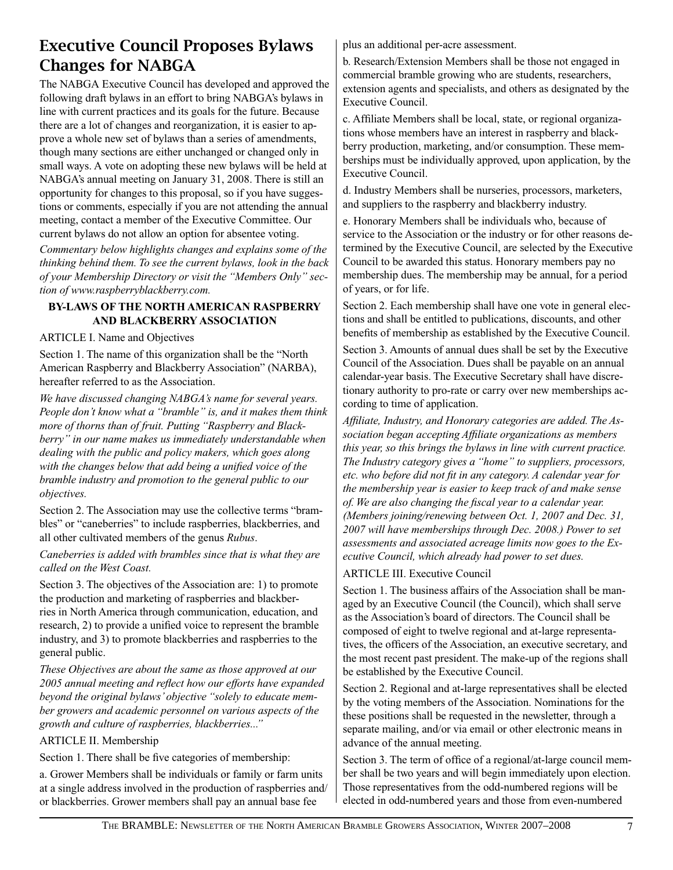### Executive Council Proposes Bylaws Changes for NABGA

The NABGA Executive Council has developed and approved the following draft bylaws in an effort to bring NABGA's bylaws in line with current practices and its goals for the future. Because there are a lot of changes and reorganization, it is easier to approve a whole new set of bylaws than a series of amendments, though many sections are either unchanged or changed only in small ways. A vote on adopting these new bylaws will be held at NABGA's annual meeting on January 31, 2008. There is still an opportunity for changes to this proposal, so if you have suggestions or comments, especially if you are not attending the annual meeting, contact a member of the Executive Committee. Our current bylaws do not allow an option for absentee voting.

*Commentary below highlights changes and explains some of the thinking behind them. To see the current bylaws, look in the back of your Membership Directory or visit the "Members Only" section of www.raspberryblackberry.com.* 

#### **BY-LAWS OF THE NORTH AMERICAN RASPBERRY AND BLACKBERRY ASSOCIATION**

#### ARTICLE I. Name and Objectives

Section 1. The name of this organization shall be the "North American Raspberry and Blackberry Association" (NARBA), hereafter referred to as the Association.

*We have discussed changing NABGA's name for several years. People don't know what a "bramble" is, and it makes them think more of thorns than of fruit. Putting "Raspberry and Blackberry" in our name makes us immediately understandable when dealing with the public and policy makers, which goes along with the changes below that add being a unified voice of the bramble industry and promotion to the general public to our objectives.* 

Section 2. The Association may use the collective terms "brambles" or "caneberries" to include raspberries, blackberries, and all other cultivated members of the genus *Rubus*.

#### *Caneberries is added with brambles since that is what they are called on the West Coast.*

Section 3. The objectives of the Association are: 1) to promote the production and marketing of raspberries and blackberries in North America through communication, education, and research, 2) to provide a unified voice to represent the bramble industry, and 3) to promote blackberries and raspberries to the general public.

*These Objectives are about the same as those approved at our 2005 annual meeting and reflect how our efforts have expanded beyond the original bylaws' objective "solely to educate member growers and academic personnel on various aspects of the growth and culture of raspberries, blackberries..."* 

#### ARTICLE II. Membership

Section 1. There shall be five categories of membership:

a. Grower Members shall be individuals or family or farm units at a single address involved in the production of raspberries and/ or blackberries. Grower members shall pay an annual base fee

plus an additional per-acre assessment.

b. Research/Extension Members shall be those not engaged in commercial bramble growing who are students, researchers, extension agents and specialists, and others as designated by the Executive Council.

c. Affiliate Members shall be local, state, or regional organizations whose members have an interest in raspberry and blackberry production, marketing, and/or consumption. These memberships must be individually approved, upon application, by the Executive Council.

d. Industry Members shall be nurseries, processors, marketers, and suppliers to the raspberry and blackberry industry.

e. Honorary Members shall be individuals who, because of service to the Association or the industry or for other reasons determined by the Executive Council, are selected by the Executive Council to be awarded this status. Honorary members pay no membership dues. The membership may be annual, for a period of years, or for life.

Section 2. Each membership shall have one vote in general elections and shall be entitled to publications, discounts, and other benefits of membership as established by the Executive Council.

Section 3. Amounts of annual dues shall be set by the Executive Council of the Association. Dues shall be payable on an annual calendar-year basis. The Executive Secretary shall have discretionary authority to pro-rate or carry over new memberships according to time of application.

*Affiliate, Industry, and Honorary categories are added. The Association began accepting Affiliate organizations as members this year, so this brings the bylaws in line with current practice. The Industry category gives a "home" to suppliers, processors, etc. who before did not fit in any category. A calendar year for the membership year is easier to keep track of and make sense of. We are also changing the fiscal year to a calendar year. (Members joining/renewing between Oct. 1, 2007 and Dec. 31, 2007 will have memberships through Dec. 2008.) Power to set assessments and associated acreage limits now goes to the Executive Council, which already had power to set dues.*

#### ARTICLE III. Executive Council

Section 1. The business affairs of the Association shall be managed by an Executive Council (the Council), which shall serve as the Association's board of directors. The Council shall be composed of eight to twelve regional and at-large representatives, the officers of the Association, an executive secretary, and the most recent past president. The make-up of the regions shall be established by the Executive Council.

Section 2. Regional and at-large representatives shall be elected by the voting members of the Association. Nominations for the these positions shall be requested in the newsletter, through a separate mailing, and/or via email or other electronic means in advance of the annual meeting.

Section 3. The term of office of a regional/at-large council member shall be two years and will begin immediately upon election. Those representatives from the odd-numbered regions will be elected in odd-numbered years and those from even-numbered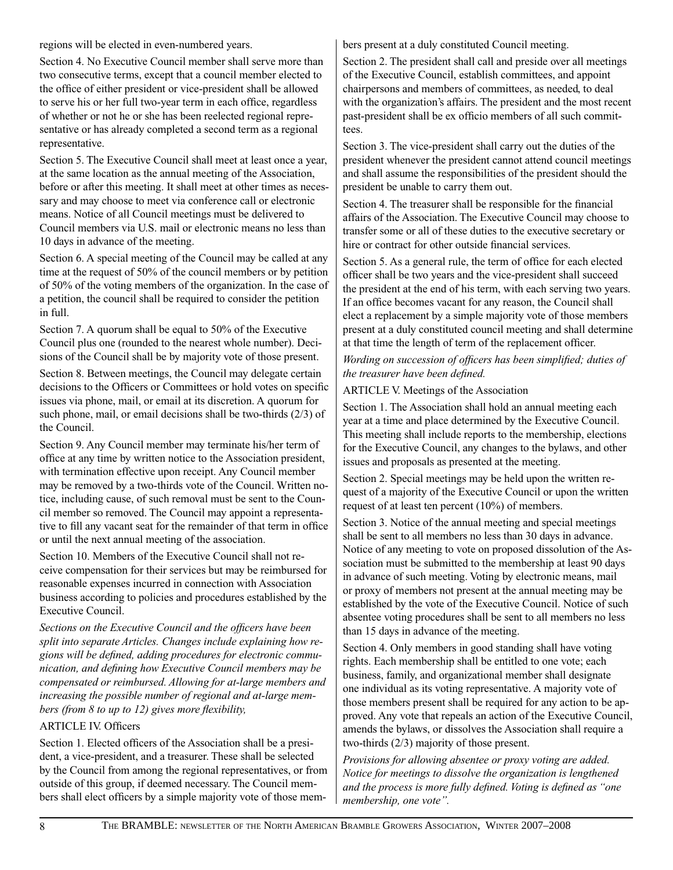regions will be elected in even-numbered years.

Section 4. No Executive Council member shall serve more than two consecutive terms, except that a council member elected to the office of either president or vice-president shall be allowed to serve his or her full two-year term in each office, regardless of whether or not he or she has been reelected regional representative or has already completed a second term as a regional representative.

Section 5. The Executive Council shall meet at least once a year, at the same location as the annual meeting of the Association, before or after this meeting. It shall meet at other times as necessary and may choose to meet via conference call or electronic means. Notice of all Council meetings must be delivered to Council members via U.S. mail or electronic means no less than 10 days in advance of the meeting.

Section 6. A special meeting of the Council may be called at any time at the request of 50% of the council members or by petition of 50% of the voting members of the organization. In the case of a petition, the council shall be required to consider the petition in full.

Section 7. A quorum shall be equal to 50% of the Executive Council plus one (rounded to the nearest whole number). Decisions of the Council shall be by majority vote of those present.

Section 8. Between meetings, the Council may delegate certain decisions to the Officers or Committees or hold votes on specific issues via phone, mail, or email at its discretion. A quorum for such phone, mail, or email decisions shall be two-thirds (2/3) of the Council.

Section 9. Any Council member may terminate his/her term of office at any time by written notice to the Association president, with termination effective upon receipt. Any Council member may be removed by a two-thirds vote of the Council. Written notice, including cause, of such removal must be sent to the Council member so removed. The Council may appoint a representative to fill any vacant seat for the remainder of that term in office or until the next annual meeting of the association.

Section 10. Members of the Executive Council shall not receive compensation for their services but may be reimbursed for reasonable expenses incurred in connection with Association business according to policies and procedures established by the Executive Council.

*Sections on the Executive Council and the officers have been split into separate Articles. Changes include explaining how regions will be defined, adding procedures for electronic communication, and defining how Executive Council members may be compensated or reimbursed. Allowing for at-large members and increasing the possible number of regional and at-large members (from 8 to up to 12) gives more flexibility,*

#### ARTICLE IV. Officers

Section 1. Elected officers of the Association shall be a president, a vice-president, and a treasurer. These shall be selected by the Council from among the regional representatives, or from outside of this group, if deemed necessary. The Council members shall elect officers by a simple majority vote of those members present at a duly constituted Council meeting.

Section 2. The president shall call and preside over all meetings of the Executive Council, establish committees, and appoint chairpersons and members of committees, as needed, to deal with the organization's affairs. The president and the most recent past-president shall be ex officio members of all such committees.

Section 3. The vice-president shall carry out the duties of the president whenever the president cannot attend council meetings and shall assume the responsibilities of the president should the president be unable to carry them out.

Section 4. The treasurer shall be responsible for the financial affairs of the Association. The Executive Council may choose to transfer some or all of these duties to the executive secretary or hire or contract for other outside financial services.

Section 5. As a general rule, the term of office for each elected officer shall be two years and the vice-president shall succeed the president at the end of his term, with each serving two years. If an office becomes vacant for any reason, the Council shall elect a replacement by a simple majority vote of those members present at a duly constituted council meeting and shall determine at that time the length of term of the replacement officer.

*Wording on succession of officers has been simplified; duties of the treasurer have been defined.*

#### ARTICLE V. Meetings of the Association

Section 1. The Association shall hold an annual meeting each year at a time and place determined by the Executive Council. This meeting shall include reports to the membership, elections for the Executive Council, any changes to the bylaws, and other issues and proposals as presented at the meeting.

Section 2. Special meetings may be held upon the written request of a majority of the Executive Council or upon the written request of at least ten percent (10%) of members.

Section 3. Notice of the annual meeting and special meetings shall be sent to all members no less than 30 days in advance. Notice of any meeting to vote on proposed dissolution of the Association must be submitted to the membership at least 90 days in advance of such meeting. Voting by electronic means, mail or proxy of members not present at the annual meeting may be established by the vote of the Executive Council. Notice of such absentee voting procedures shall be sent to all members no less than 15 days in advance of the meeting.

Section 4. Only members in good standing shall have voting rights. Each membership shall be entitled to one vote; each business, family, and organizational member shall designate one individual as its voting representative. A majority vote of those members present shall be required for any action to be approved. Any vote that repeals an action of the Executive Council, amends the bylaws, or dissolves the Association shall require a two-thirds (2/3) majority of those present.

*Provisions for allowing absentee or proxy voting are added. Notice for meetings to dissolve the organization is lengthened and the process is more fully defined. Voting is defined as "one membership, one vote".*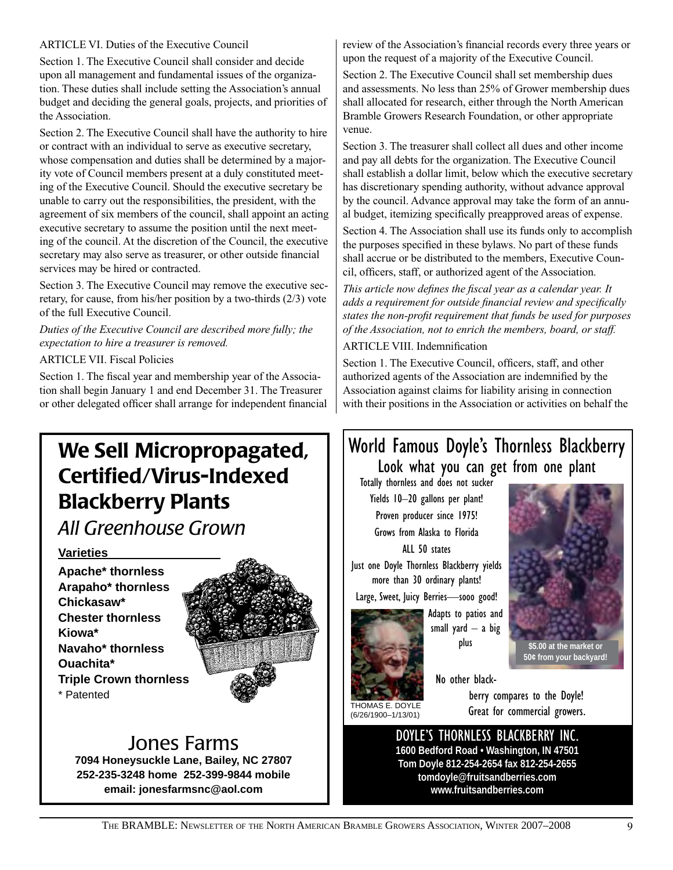#### ARTICLE VI. Duties of the Executive Council

Section 1. The Executive Council shall consider and decide upon all management and fundamental issues of the organization. These duties shall include setting the Association's annual budget and deciding the general goals, projects, and priorities of the Association.

Section 2. The Executive Council shall have the authority to hire or contract with an individual to serve as executive secretary, whose compensation and duties shall be determined by a majority vote of Council members present at a duly constituted meeting of the Executive Council. Should the executive secretary be unable to carry out the responsibilities, the president, with the agreement of six members of the council, shall appoint an acting executive secretary to assume the position until the next meeting of the council. At the discretion of the Council, the executive secretary may also serve as treasurer, or other outside financial services may be hired or contracted.

Section 3. The Executive Council may remove the executive secretary, for cause, from his/her position by a two-thirds (2/3) vote of the full Executive Council.

*Duties of the Executive Council are described more fully; the expectation to hire a treasurer is removed.* 

ARTICLE VII. Fiscal Policies

Section 1. The fiscal year and membership year of the Association shall begin January 1 and end December 31. The Treasurer or other delegated officer shall arrange for independent financial

## We Sell Micropropagated, Certified/Virus-Indexed Blackberry Plants

*All Greenhouse Grown*

#### **Varieties**

**Apache\* thornless Arapaho\* thornless Chickasaw\* Chester thornless Kiowa\* Navaho\* thornless Ouachita\* Triple Crown thornless**  \* Patented



### Jones Farms

**7094 Honeysuckle Lane, Bailey, NC 27807 252-235-3248 home 252-399-9844 mobile email: jonesfarmsnc@aol.com**

review of the Association's financial records every three years or upon the request of a majority of the Executive Council.

Section 2. The Executive Council shall set membership dues and assessments. No less than 25% of Grower membership dues shall allocated for research, either through the North American Bramble Growers Research Foundation, or other appropriate venue.

Section 3. The treasurer shall collect all dues and other income and pay all debts for the organization. The Executive Council shall establish a dollar limit, below which the executive secretary has discretionary spending authority, without advance approval by the council. Advance approval may take the form of an annual budget, itemizing specifically preapproved areas of expense.

Section 4. The Association shall use its funds only to accomplish the purposes specified in these bylaws. No part of these funds shall accrue or be distributed to the members, Executive Council, officers, staff, or authorized agent of the Association.

*This article now defines the fiscal year as a calendar year. It adds a requirement for outside financial review and specifically states the non-profit requirement that funds be used for purposes of the Association, not to enrich the members, board, or staff.*

#### ARTICLE VIII. Indemnification

Section 1. The Executive Council, officers, staff, and other authorized agents of the Association are indemnified by the Association against claims for liability arising in connection with their positions in the Association or activities on behalf the

### World Famous Doyle's Thornless Blackberry Look what you can get from one plant

Totally thornless and does not sucker Yields 10–20 gallons per plant! Proven producer since 1975! Grows from Alaska to Florida ALL 50 states

Just one Doyle Thornless Blackberry yields more than 30 ordinary plants!

Large, Sweet, Juicy Berries—sooo good!

plus

Adapts to patios and small yard  $-$  a big



**\$5.00 at the market or 50¢ from your backyard!**

No other black-

THOMAS E. DOYLE (6/26/1900–1/13/01)

berry compares to the Doyle! Great for commercial growers.

DOYLE'S THORNLESS BLACKBERRY INC. **1600 Bedford Road • Washington, IN 47501 Tom Doyle 812-254-2654 fax 812-254-2655 tomdoyle@fruitsandberries.com www.fruitsandberries.com**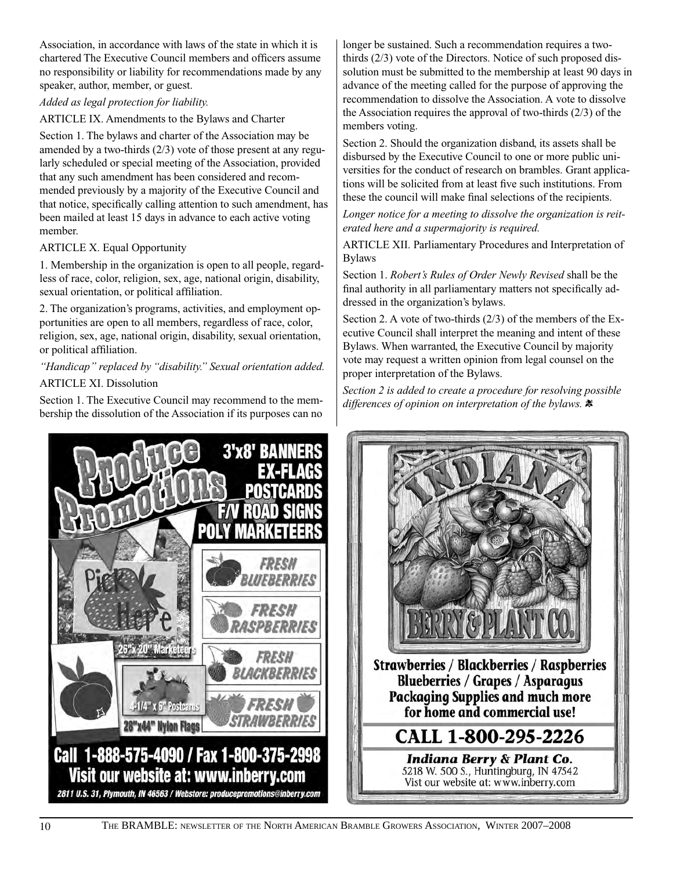Association, in accordance with laws of the state in which it is chartered The Executive Council members and officers assume no responsibility or liability for recommendations made by any speaker, author, member, or guest.

#### *Added as legal protection for liability.*

ARTICLE IX. Amendments to the Bylaws and Charter

Section 1. The bylaws and charter of the Association may be amended by a two-thirds (2/3) vote of those present at any regularly scheduled or special meeting of the Association, provided that any such amendment has been considered and recommended previously by a majority of the Executive Council and that notice, specifically calling attention to such amendment, has been mailed at least 15 days in advance to each active voting member.

#### ARTICLE X. Equal Opportunity

1. Membership in the organization is open to all people, regardless of race, color, religion, sex, age, national origin, disability, sexual orientation, or political affiliation.

2. The organization's programs, activities, and employment opportunities are open to all members, regardless of race, color, religion, sex, age, national origin, disability, sexual orientation, or political affiliation.

#### *"Handicap" replaced by "disability." Sexual orientation added.*

#### ARTICLE XI. Dissolution

Section 1. The Executive Council may recommend to the membership the dissolution of the Association if its purposes can no

longer be sustained. Such a recommendation requires a twothirds (2/3) vote of the Directors. Notice of such proposed dissolution must be submitted to the membership at least 90 days in advance of the meeting called for the purpose of approving the recommendation to dissolve the Association. A vote to dissolve the Association requires the approval of two-thirds (2/3) of the members voting.

Section 2. Should the organization disband, its assets shall be disbursed by the Executive Council to one or more public universities for the conduct of research on brambles. Grant applications will be solicited from at least five such institutions. From these the council will make final selections of the recipients.

*Longer notice for a meeting to dissolve the organization is reiterated here and a supermajority is required.*

ARTICLE XII. Parliamentary Procedures and Interpretation of Bylaws

Section 1. *Robert's Rules of Order Newly Revised* shall be the final authority in all parliamentary matters not specifically addressed in the organization's bylaws.

Section 2. A vote of two-thirds (2/3) of the members of the Executive Council shall interpret the meaning and intent of these Bylaws. When warranted, the Executive Council by majority vote may request a written opinion from legal counsel on the proper interpretation of the Bylaws.

*Section 2 is added to create a procedure for resolving possible differences of opinion on interpretation of the bylaws.* t



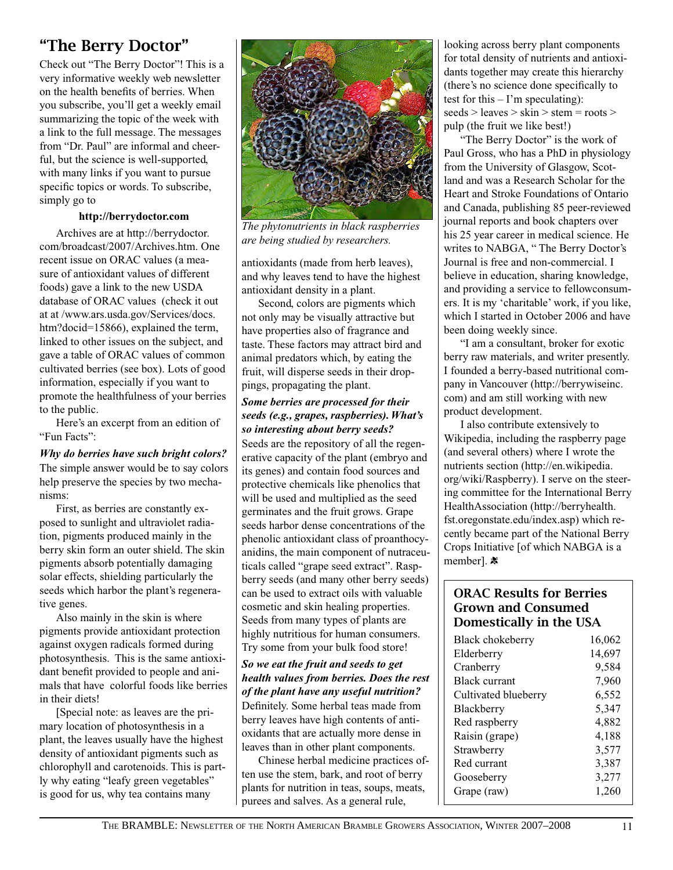### "The Berry Doctor"

Check out "The Berry Doctor"! This is a very informative weekly web newsletter on the health benefits of berries. When you subscribe, you'll get a weekly email summarizing the topic of the week with a link to the full message. The messages from "Dr. Paul" are informal and cheerful, but the science is well-supported, with many links if you want to pursue specific topics or words. To subscribe, simply go to

#### **http://berrydoctor.com**

Archives are at http://berrydoctor. com/broadcast/2007/Archives.htm. One recent issue on ORAC values (a measure of antioxidant values of different foods) gave a link to the new USDA database of ORAC values (check it out at at /www.ars.usda.gov/Services/docs. htm?docid=15866), explained the term, linked to other issues on the subject, and gave a table of ORAC values of common cultivated berries (see box). Lots of good information, especially if you want to promote the healthfulness of your berries to the public.

Here's an excerpt from an edition of "Fun Facts":

*Why do berries have such bright colors?* The simple answer would be to say colors help preserve the species by two mechanisms:

First, as berries are constantly exposed to sunlight and ultraviolet radiation, pigments produced mainly in the berry skin form an outer shield. The skin pigments absorb potentially damaging solar effects, shielding particularly the seeds which harbor the plant's regenerative genes.

Also mainly in the skin is where pigments provide antioxidant protection against oxygen radicals formed during photosynthesis. This is the same antioxidant benefit provided to people and animals that have colorful foods like berries in their diets!

[Special note: as leaves are the primary location of photosynthesis in a plant, the leaves usually have the highest density of antioxidant pigments such as chlorophyll and carotenoids. This is partly why eating "leafy green vegetables" is good for us, why tea contains many



*The phytonutrients in black raspberries are being studied by researchers.*

antioxidants (made from herb leaves), and why leaves tend to have the highest antioxidant density in a plant.

Second, colors are pigments which not only may be visually attractive but have properties also of fragrance and taste. These factors may attract bird and animal predators which, by eating the fruit, will disperse seeds in their droppings, propagating the plant.

#### *Some berries are processed for their seeds (e.g., grapes, raspberries). What's so interesting about berry seeds?*

Seeds are the repository of all the regenerative capacity of the plant (embryo and its genes) and contain food sources and protective chemicals like phenolics that will be used and multiplied as the seed germinates and the fruit grows. Grape seeds harbor dense concentrations of the phenolic antioxidant class of proanthocyanidins, the main component of nutraceuticals called "grape seed extract". Raspberry seeds (and many other berry seeds) can be used to extract oils with valuable cosmetic and skin healing properties. Seeds from many types of plants are highly nutritious for human consumers. Try some from your bulk food store!

*So we eat the fruit and seeds to get health values from berries. Does the rest of the plant have any useful nutrition?* Definitely. Some herbal teas made from berry leaves have high contents of antioxidants that are actually more dense in leaves than in other plant components.

Chinese herbal medicine practices often use the stem, bark, and root of berry plants for nutrition in teas, soups, meats, purees and salves. As a general rule,

looking across berry plant components for total density of nutrients and antioxidants together may create this hierarchy (there's no science done specifically to test for this  $-$  I'm speculating): seeds > leaves > skin > stem = roots > pulp (the fruit we like best!)

"The Berry Doctor" is the work of Paul Gross, who has a PhD in physiology from the University of Glasgow, Scotland and was a Research Scholar for the Heart and Stroke Foundations of Ontario and Canada, publishing 85 peer-reviewed journal reports and book chapters over his 25 year career in medical science. He writes to NABGA, " The Berry Doctor's Journal is free and non-commercial. I believe in education, sharing knowledge, and providing a service to fellowconsumers. It is my 'charitable' work, if you like, which I started in October 2006 and have been doing weekly since.

"I am a consultant, broker for exotic berry raw materials, and writer presently. I founded a berry-based nutritional company in Vancouver (http://berrywiseinc. com) and am still working with new product development.

I also contribute extensively to Wikipedia, including the raspberry page (and several others) where I wrote the nutrients section (http://en.wikipedia. org/wiki/Raspberry). I serve on the steering committee for the International Berry HealthAssociation (http://berryhealth. fst.oregonstate.edu/index.asp) which recently became part of the National Berry Crops Initiative [of which NABGA is a member].  $\ast$ 

#### ORAC Results for Berries Grown and Consumed Domestically in the USA

| Black chokeberry<br>Elderberry | 16,062<br>14,697 |
|--------------------------------|------------------|
| Cranberry                      | 9,584            |
| <b>Black currant</b>           | 7,960            |
| Cultivated blueberry           | 6,552            |
| Blackberry                     | 5,347            |
| Red raspberry                  | 4,882            |
| Raisin (grape)                 | 4,188            |
| Strawberry                     | 3,577            |
| Red currant                    | 3,387            |
| Gooseberry                     | 3,277            |
| Grape (raw)                    | 1,260            |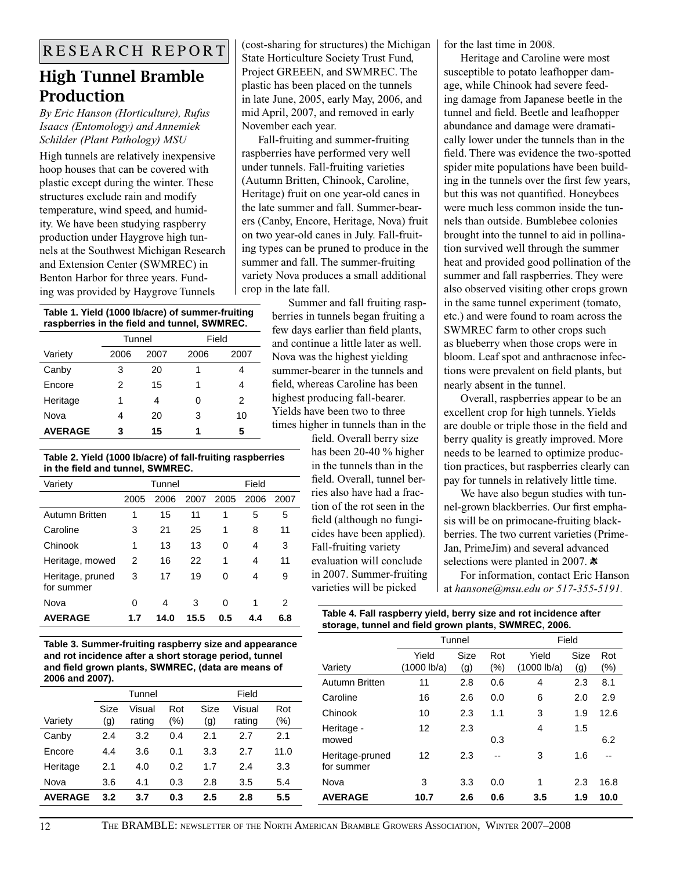### High Tunnel Bramble Production

*By Eric Hanson (Horticulture), Rufus Isaacs (Entomology) and Annemiek Schilder (Plant Pathology) MSU*

High tunnels are relatively inexpensive hoop houses that can be covered with plastic except during the winter. These structures exclude rain and modify temperature, wind speed, and humidity. We have been studying raspberry production under Haygrove high tunnels at the Southwest Michigan Research and Extension Center (SWMREC) in Benton Harbor for three years. Funding was provided by Haygrove Tunnels

**Table 1. Yield (1000 lb/acre) of summer-fruiting raspberries in the field and tunnel, SWMREC.**

|                | Tunnel |      | Field |      |
|----------------|--------|------|-------|------|
| Variety        | 2006   | 2007 | 2006  | 2007 |
| Canby          | 3      | 20   | 1     |      |
| Encore         | 2      | 15   | 1     | 4    |
| Heritage       | 1      | 4    | O     | 2    |
| Nova           | 4      | 20   | 3     | 10   |
| <b>AVERAGE</b> | 3      | 15   | 1     | 5    |

#### **Table 2. Yield (1000 lb/acre) of fall-fruiting raspberries in the field and tunnel, SWMREC.**

| Variety                        |      | Tunnel |      |      | Field |      |
|--------------------------------|------|--------|------|------|-------|------|
|                                | 2005 | 2006   | 2007 | 2005 | 2006  | 2007 |
| <b>Autumn Britten</b>          | 1    | 15     | 11   | 1    | 5     | 5    |
| Caroline                       | 3    | 21     | 25   | 1    | 8     | 11   |
| Chinook                        | 1    | 13     | 13   | 0    | 4     | 3    |
| Heritage, mowed                | 2    | 16     | 22   | 1    | 4     | 11   |
| Heritage, pruned<br>for summer | 3    | 17     | 19   | 0    | 4     | 9    |
| Nova                           | 0    | 4      | 3    | 0    | 1     | 2    |
| <b>AVERAGE</b>                 | 1.7  | 14.0   | 15.5 | 0.5  | 4.4   | 6.8  |

 $\overline{R}$  E S E A R C H  $\overline{R}$  E P O R T  $\overline{R}$  (cost-sharing for structures) the Michigan for the last time in 2008. (cost-sharing for structures) the Michigan State Horticulture Society Trust Fund, Project GREEEN, and SWMREC. The plastic has been placed on the tunnels in late June, 2005, early May, 2006, and mid April, 2007, and removed in early November each year.

Fall-fruiting and summer-fruiting raspberries have performed very well under tunnels. Fall-fruiting varieties (Autumn Britten, Chinook, Caroline, Heritage) fruit on one year-old canes in the late summer and fall. Summer-bearers (Canby, Encore, Heritage, Nova) fruit on two year-old canes in July. Fall-fruiting types can be pruned to produce in the summer and fall. The summer-fruiting variety Nova produces a small additional crop in the late fall.

Summer and fall fruiting raspberries in tunnels began fruiting a few days earlier than field plants, and continue a little later as well. Nova was the highest yielding summer-bearer in the tunnels and field, whereas Caroline has been highest producing fall-bearer. Yields have been two to three times higher in tunnels than in the

field. Overall berry size has been 20-40 % higher in the tunnels than in the field. Overall, tunnel berries also have had a fraction of the rot seen in the field (although no fungicides have been applied). Fall-fruiting variety evaluation will conclude in 2007. Summer-fruiting varieties will be picked

Heritage and Caroline were most susceptible to potato leafhopper damage, while Chinook had severe feeding damage from Japanese beetle in the tunnel and field. Beetle and leafhopper abundance and damage were dramatically lower under the tunnels than in the field. There was evidence the two-spotted spider mite populations have been building in the tunnels over the first few years, but this was not quantified. Honeybees were much less common inside the tunnels than outside. Bumblebee colonies brought into the tunnel to aid in pollination survived well through the summer heat and provided good pollination of the summer and fall raspberries. They were also observed visiting other crops grown in the same tunnel experiment (tomato, etc.) and were found to roam across the SWMREC farm to other crops such as blueberry when those crops were in bloom. Leaf spot and anthracnose infections were prevalent on field plants, but nearly absent in the tunnel.

Overall, raspberries appear to be an excellent crop for high tunnels. Yields are double or triple those in the field and berry quality is greatly improved. More needs to be learned to optimize production practices, but raspberries clearly can pay for tunnels in relatively little time.

We have also begun studies with tunnel-grown blackberries. Our first emphasis will be on primocane-fruiting blackberries. The two current varieties (Prime-Jan, PrimeJim) and several advanced selections were planted in 2007.  $\ast$ 

For information, contact Eric Hanson at *hansone@msu.edu or 517-355-5191.* 

| Table 4. Fall raspberry yield, berry size and rot incidence after |
|-------------------------------------------------------------------|
| storage, tunnel and field grown plants, SWMREC, 2006.             |

**Table 3. Summer-fruiting raspberry size and appearance and rot incidence after a short storage period, tunnel and field grown plants, SWMREC, (data are means of 2006 and 2007).**

|                | Tunnel |        |        |         |        |        |
|----------------|--------|--------|--------|---------|--------|--------|
|                | Size   | Visual | Rot    | Size    | Visual | Rot    |
| Variety        | (g)    | rating | $(\%)$ | (g)     | rating | $(\%)$ |
| Canby          | 2.4    | 3.2    | 0.4    | 2.1     | 2.7    | 2.1    |
| Encore         | 4.4    | 3.6    | 0.1    | 3.3     | 2.7    | 11.0   |
| Heritage       | 2.1    | 4.0    | 0.2    | 1.7     | 2.4    | 3.3    |
| Nova           | 3.6    | 4.1    | 0.3    | 2.8     | 3.5    | 5.4    |
| <b>AVERAGE</b> | 3.2    | 3.7    | 0.3    | $2.5\,$ | 2.8    | 5.5    |

|                               | Tunnel               |             |            | Field                |             |               |
|-------------------------------|----------------------|-------------|------------|----------------------|-------------|---------------|
| Variety                       | Yield<br>(1000 lb/a) | Size<br>(g) | Rot<br>(%) | Yield<br>(1000 lb/a) | Size<br>(g) | Rot<br>$(\%)$ |
| Autumn Britten                | 11                   | 2.8         | 0.6        | 4                    | 2.3         | 8.1           |
| Caroline                      | 16                   | 2.6         | 0.0        | 6                    | 2.0         | 2.9           |
| Chinook                       | 10                   | 2.3         | 1.1        | 3                    | 1.9         | 12.6          |
| Heritage -<br>mowed           | 12                   | 2.3         | 0.3        | 4                    | 1.5         | 6.2           |
| Heritage-pruned<br>for summer | 12                   | 2.3         | $-$        | 3                    | 1.6         |               |
| Nova                          | 3                    | 3.3         | 0.0        | 1                    | 2.3         | 16.8          |
| <b>AVERAGE</b>                | 10.7                 | 2.6         | 0.6        | 3.5                  | 1.9         | 10.0          |
|                               |                      |             |            |                      |             |               |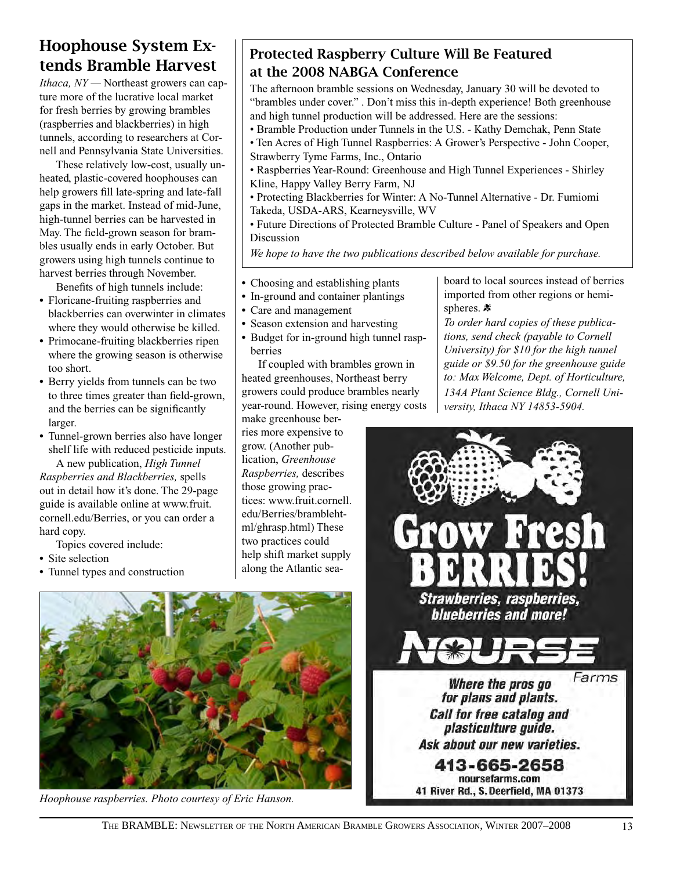### Hoophouse System Extends Bramble Harvest

*Ithaca, NY —* Northeast growers can capture more of the lucrative local market for fresh berries by growing brambles (raspberries and blackberries) in high tunnels, according to researchers at Cornell and Pennsylvania State Universities.

These relatively low-cost, usually unheated, plastic-covered hoophouses can help growers fill late-spring and late-fall gaps in the market. Instead of mid-June, high-tunnel berries can be harvested in May. The field-grown season for brambles usually ends in early October. But growers using high tunnels continue to harvest berries through November.

Benefits of high tunnels include: **•** Floricane-fruiting raspberries and

- blackberries can overwinter in climates where they would otherwise be killed.
- **•** Primocane-fruiting blackberries ripen where the growing season is otherwise too short.
- **•** Berry yields from tunnels can be two to three times greater than field-grown, and the berries can be significantly larger.
- **•** Tunnel-grown berries also have longer shelf life with reduced pesticide inputs.

A new publication, *High Tunnel Raspberries and Blackberries,* spells out in detail how it's done. The 29-page guide is available online at www.fruit. cornell.edu/Berries, or you can order a hard copy.

Topics covered include:

- **•** Site selection
- **•** Tunnel types and construction

#### Protected Raspberry Culture Will Be Featured at the 2008 NABGA Conference

The afternoon bramble sessions on Wednesday, January 30 will be devoted to "brambles under cover." . Don't miss this in-depth experience! Both greenhouse and high tunnel production will be addressed. Here are the sessions:

- Bramble Production under Tunnels in the U.S. Kathy Demchak, Penn State • Ten Acres of High Tunnel Raspberries: A Grower's Perspective - John Cooper, Strawberry Tyme Farms, Inc., Ontario
- Raspberries Year-Round: Greenhouse and High Tunnel Experiences Shirley Kline, Happy Valley Berry Farm, NJ
- Protecting Blackberries for Winter: A No-Tunnel Alternative Dr. Fumiomi Takeda, USDA-ARS, Kearneysville, WV
- Future Directions of Protected Bramble Culture Panel of Speakers and Open Discussion

*We hope to have the two publications described below available for purchase.*

- **•** Choosing and establishing plants
- **•** In-ground and container plantings
- **•** Care and management
- **•** Season extension and harvesting
- **•** Budget for in-ground high tunnel raspberries

If coupled with brambles grown in heated greenhouses, Northeast berry growers could produce brambles nearly year-round. However, rising energy costs

make greenhouse berries more expensive to grow. (Another publication, *Greenhouse Raspberries,* describes those growing practices: www.fruit.cornell. edu/Berries/bramblehtml/ghrasp.html) These two practices could help shift market supply along the Atlantic sea-



*To order hard copies of these publications, send check (payable to Cornell University) for \$10 for the high tunnel guide or \$9.50 for the greenhouse guide to: Max Welcome, Dept. of Horticulture, 134A Plant Science Bldg., Cornell University, Ithaca NY 14853-5904.*





*Hoophouse raspberries. Photo courtesy of Eric Hanson.*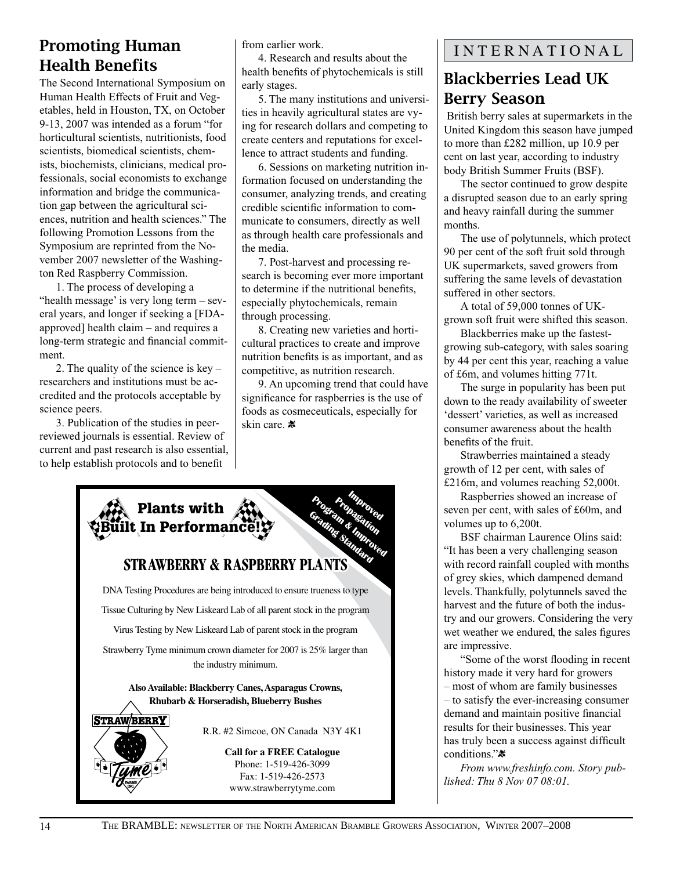# Health Benefits

**Example 18**<br> **342. 32.** The Second International Symposium on the alth senect and respect and the second International Symposium on early stages.<br>
Thuman Health Effects of Fruit and Veg-<br> **35. The many instituted Ethica** The Second International Symposium on Human Health Effects of Fruit and Vegetables, held in Houston, TX, on October 9-13, 2007 was intended as a forum "for horticultural scientists, nutritionists, food scientists, biomedical scientists, chemists, biochemists, clinicians, medical professionals, social economists to exchange information and bridge the communication gap between the agricultural sciences, nutrition and health sciences." The following Promotion Lessons from the Symposium are reprinted from the November 2007 newsletter of the Washington Red Raspberry Commission.

1. The process of developing a "health message' is very long term – several years, and longer if seeking a [FDAapproved] health claim – and requires a long-term strategic and financial commitment.

2. The quality of the science is key – researchers and institutions must be accredited and the protocols acceptable by science peers.

3. Publication of the studies in peerreviewed journals is essential. Review of current and past research is also essential, to help establish protocols and to benefit

from earlier work.

4. Research and results about the health benefits of phytochemicals is still early stages.

5. The many institutions and universities in heavily agricultural states are vying for research dollars and competing to create centers and reputations for excellence to attract students and funding.

6. Sessions on marketing nutrition information focused on understanding the consumer, analyzing trends, and creating credible scientific information to communicate to consumers, directly as well as through health care professionals and the media.

7. Post-harvest and processing research is becoming ever more important to determine if the nutritional benefits, especially phytochemicals, remain through processing.

8. Creating new varieties and horticultural practices to create and improve nutrition benefits is as important, and as competitive, as nutrition research.

9. An upcoming trend that could have significance for raspberries is the use of foods as cosmeceuticals, especially for skin care. \*



### INTERNATIONAL

### Blackberries Lead UK Berry Season

 British berry sales at supermarkets in the United Kingdom this season have jumped to more than £282 million, up 10.9 per cent on last year, according to industry body British Summer Fruits (BSF).

The sector continued to grow despite a disrupted season due to an early spring and heavy rainfall during the summer months.

The use of polytunnels, which protect 90 per cent of the soft fruit sold through UK supermarkets, saved growers from suffering the same levels of devastation suffered in other sectors.

A total of 59,000 tonnes of UKgrown soft fruit were shifted this season.

Blackberries make up the fastestgrowing sub-category, with sales soaring by 44 per cent this year, reaching a value of £6m, and volumes hitting 771t.

The surge in popularity has been put down to the ready availability of sweeter 'dessert' varieties, as well as increased consumer awareness about the health benefits of the fruit.

Strawberries maintained a steady growth of 12 per cent, with sales of £216m, and volumes reaching 52,000t.

Raspberries showed an increase of seven per cent, with sales of £60m, and volumes up to 6,200t.

BSF chairman Laurence Olins said: "It has been a very challenging season with record rainfall coupled with months of grey skies, which dampened demand levels. Thankfully, polytunnels saved the harvest and the future of both the industry and our growers. Considering the very wet weather we endured, the sales figures are impressive.

"Some of the worst flooding in recent history made it very hard for growers – most of whom are family businesses – to satisfy the ever-increasing consumer demand and maintain positive financial results for their businesses. This year has truly been a success against difficult conditions."\*

*From www.freshinfo.com. Story published: Thu 8 Nov 07 08:01.*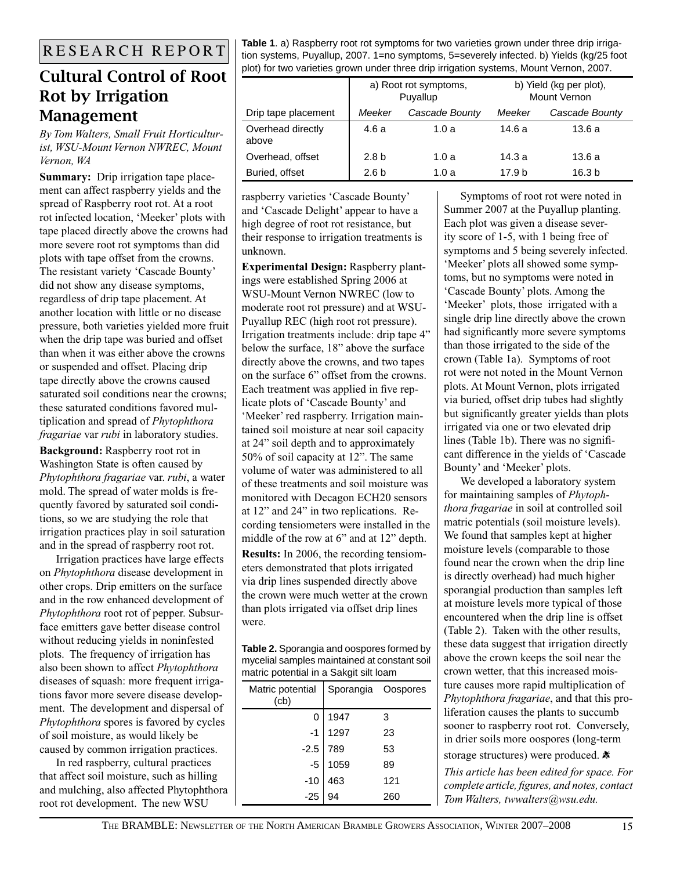### Cultural Control of Root Rot by Irrigation Management

*By Tom Walters, Small Fruit Horticulturist, WSU-Mount Vernon NWREC, Mount Vernon, WA* 

**Summary:** Drip irrigation tape placement can affect raspberry yields and the spread of Raspberry root rot. At a root rot infected location, 'Meeker' plots with tape placed directly above the crowns had more severe root rot symptoms than did plots with tape offset from the crowns. The resistant variety 'Cascade Bounty' did not show any disease symptoms, regardless of drip tape placement. At another location with little or no disease pressure, both varieties yielded more fruit when the drip tape was buried and offset than when it was either above the crowns or suspended and offset. Placing drip tape directly above the crowns caused saturated soil conditions near the crowns; these saturated conditions favored multiplication and spread of *Phytophthora fragariae* var *rubi* in laboratory studies.

**Background:** Raspberry root rot in Washington State is often caused by *Phytophthora fragariae* var. *rubi*, a water mold. The spread of water molds is frequently favored by saturated soil conditions, so we are studying the role that irrigation practices play in soil saturation and in the spread of raspberry root rot.

Irrigation practices have large effects on *Phytophthora* disease development in other crops. Drip emitters on the surface and in the row enhanced development of *Phytophthora* root rot of pepper. Subsurface emitters gave better disease control without reducing yields in noninfested plots. The frequency of irrigation has also been shown to affect *Phytophthora* diseases of squash: more frequent irrigations favor more severe disease development. The development and dispersal of *Phytophthora* spores is favored by cycles of soil moisture, as would likely be caused by common irrigation practices.

In red raspberry, cultural practices that affect soil moisture, such as hilling and mulching, also affected Phytophthora root rot development. The new WSU

**Table 1**. a) Raspberry root rot symptoms for two varieties grown under three drip irrigation systems, Puyallup, 2007. 1=no symptoms, 5=severely infected. b) Yields (kg/25 foot plot) for two varieties grown under three drip irrigation systems, Mount Vernon, 2007.

|                            | a) Root rot symptoms,<br>Puyallup |                |        | b) Yield (kg per plot),<br>Mount Vernon |
|----------------------------|-----------------------------------|----------------|--------|-----------------------------------------|
| Drip tape placement        | Meeker                            | Cascade Bounty | Meeker | Cascade Bounty                          |
| Overhead directly<br>above | 4.6a                              | 1.0 a          | 14.6 a | 13.6a                                   |
| Overhead, offset           | 2.8 <sub>b</sub>                  | 1.0a           | 14.3a  | 13.6a                                   |
| Buried, offset             | 2.6 <sub>b</sub>                  | 1.0 a          | 17.9 h | 16.3 <sub>b</sub>                       |

raspberry varieties 'Cascade Bounty' and 'Cascade Delight' appear to have a high degree of root rot resistance, but their response to irrigation treatments is unknown.

**Experimental Design:** Raspberry plantings were established Spring 2006 at WSU-Mount Vernon NWREC (low to moderate root rot pressure) and at WSU-Puyallup REC (high root rot pressure). Irrigation treatments include: drip tape 4" below the surface, 18" above the surface directly above the crowns, and two tapes on the surface 6" offset from the crowns. Each treatment was applied in five replicate plots of 'Cascade Bounty' and 'Meeker' red raspberry. Irrigation maintained soil moisture at near soil capacity at 24" soil depth and to approximately 50% of soil capacity at 12". The same volume of water was administered to all of these treatments and soil moisture was monitored with Decagon ECH20 sensors at 12" and 24" in two replications. Recording tensiometers were installed in the middle of the row at 6" and at 12" depth. **Results:** In 2006, the recording tensiometers demonstrated that plots irrigated via drip lines suspended directly above the crown were much wetter at the crown than plots irrigated via offset drip lines were.

**Table 2.** Sporangia and oospores formed by mycelial samples maintained at constant soil matric potential in a Sakgit silt loam

| Matric potential<br>(cb) | Sporangia Oospores |     |
|--------------------------|--------------------|-----|
|                          | 1947               | 3   |
|                          | 1297               | 23  |
| $-1$<br>$-2.5$           | 789                | 53  |
| $-5$                     | 1059               | 89  |
| $-10$<br>$-25$           | 463                | 121 |
|                          |                    | 260 |

Symptoms of root rot were noted in Summer 2007 at the Puyallup planting. Each plot was given a disease severity score of 1-5, with 1 being free of symptoms and 5 being severely infected. 'Meeker' plots all showed some symptoms, but no symptoms were noted in 'Cascade Bounty' plots. Among the 'Meeker' plots, those irrigated with a single drip line directly above the crown had significantly more severe symptoms than those irrigated to the side of the crown (Table 1a). Symptoms of root rot were not noted in the Mount Vernon plots. At Mount Vernon, plots irrigated via buried, offset drip tubes had slightly but significantly greater yields than plots irrigated via one or two elevated drip lines (Table 1b). There was no significant difference in the yields of 'Cascade Bounty' and 'Meeker' plots.

We developed a laboratory system for maintaining samples of *Phytophthora fragariae* in soil at controlled soil matric potentials (soil moisture levels). We found that samples kept at higher moisture levels (comparable to those found near the crown when the drip line is directly overhead) had much higher sporangial production than samples left at moisture levels more typical of those encountered when the drip line is offset (Table 2). Taken with the other results, these data suggest that irrigation directly above the crown keeps the soil near the crown wetter, that this increased moisture causes more rapid multiplication of *Phytophthora fragariae*, and that this proliferation causes the plants to succumb sooner to raspberry root rot. Conversely, in drier soils more oospores (long-term storage structures) were produced.  $*$ *This article has been edited for space. For complete article, figures, and notes, contact Tom Walters, twwalters@wsu.edu.*